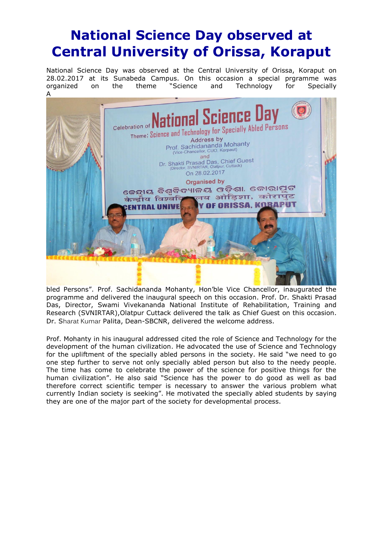## **National Science Day observed at Central University of Orissa, Koraput**

National Science Day was observed at the Central University of Orissa, Koraput on 28.02.2017 at its Sunabeda Campus. On this occasion a special prgramme was organized on the theme "Science and Technology for Specially A



bled Persons". Prof. Sachidananda Mohanty, Hon'ble Vice Chancellor, inaugurated the programme and delivered the inaugural speech on this occasion. Prof. Dr. Shakti Prasad Das, Director, Swami Vivekananda National Institute of Rehabilitation, Training and Research (SVNIRTAR),Olatpur Cuttack delivered the talk as Chief Guest on this occasion. Dr. Sharat Kumar Palita, Dean-SBCNR, delivered the welcome address.

Prof. Mohanty in his inaugural addressed cited the role of Science and Technology for the development of the human civilization. He advocated the use of Science and Technology for the upliftment of the specially abled persons in the society. He said "we need to go one step further to serve not only specially abled person but also to the needy people. The time has come to celebrate the power of the science for positive things for the human civilization". He also said "Science has the power to do good as well as bad therefore correct scientific temper is necessary to answer the various problem what currently Indian society is seeking". He motivated the specially abled students by saying they are one of the major part of the society for developmental process.